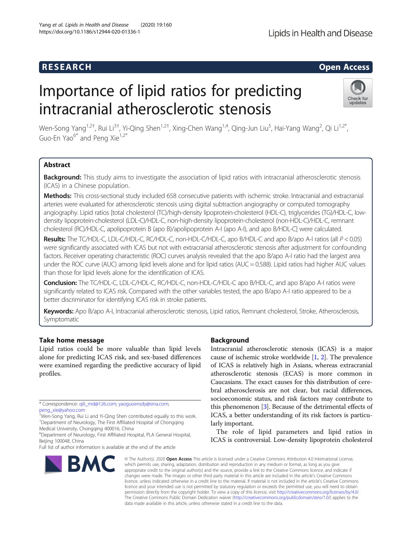### **RESEARCH RESEARCH CONSUMING ACCESS**

## Importance of lipid ratios for predicting intracranial atherosclerotic stenosis



Wen-Song Yang<sup>1,2†</sup>, Rui Li<sup>3†</sup>, Yi-Qing Shen<sup>1,2†</sup>, Xing-Chen Wang<sup>1,4</sup>, Qing-Jun Liu<sup>5</sup>, Hai-Yang Wang<sup>2</sup>, Qi Li<sup>1,2\*</sup>, Guo-En Yao $^{6*}$  and Peng Xie<sup>1,2\*</sup>

#### Abstract

Background: This study aims to investigate the association of lipid ratios with intracranial atherosclerotic stenosis (ICAS) in a Chinese population.

Methods: This cross-sectional study included 658 consecutive patients with ischemic stroke. Intracranial and extracranial arteries were evaluated for atherosclerotic stenosis using digital subtraction angiography or computed tomography angiography. Lipid ratios [total cholesterol (TC)/high-density lipoprotein-cholesterol (HDL-C), triglycerides (TG)/HDL-C, lowdensity lipoprotein-cholesterol (LDL-C)/HDL-C, non-high-density lipoprotein-cholesterol (non-HDL-C)/HDL-C, remnant cholesterol (RC)/HDL-C, apolipoprotein B (apo B)/apolipoprotein A-I (apo A-I), and apo B/HDL-C] were calculated.

Results: The TC/HDL-C, LDL-C/HDL-C, RC/HDL-C, non-HDL-C/HDL-C, apo B/HDL-C and apo B/apo A-I ratios (all P < 0.05) were significantly associated with ICAS but not with extracranial atherosclerotic stenosis after adjustment for confounding factors. Receiver operating characteristic (ROC) curves analysis revealed that the apo B/apo A-I ratio had the largest area under the ROC curve (AUC) among lipid levels alone and for lipid ratios (AUC = 0.588). Lipid ratios had higher AUC values than those for lipid levels alone for the identification of ICAS.

Conclusion: The TC/HDL-C, LDL-C/HDL-C, RC/HDL-C, non-HDL-C/HDL-C apo B/HDL-C, and apo B/apo A-I ratios were significantly related to ICAS risk. Compared with the other variables tested, the apo B/apo A-I ratio appeared to be a better discriminator for identifying ICAS risk in stroke patients.

Keywords: Apo B/apo A-I, Intracranial atherosclerotic stenosis, Lipid ratios, Remnant cholesterol, Stroke, Atherosclerosis, Symptomatic

#### Take home message

Lipid ratios could be more valuable than lipid levels alone for predicting ICAS risk, and sex-based differences were examined regarding the predictive accuracy of lipid profiles.

\* Correspondence: [qili\\_md@126.com;](mailto:qili_md@126.com) [yaoguoensdy@sina.com](mailto:yaoguoensdy@sina.com); [peng\\_xie@yahoo.com](mailto:peng_xie@yahoo.com)

† Wen-Song Yang, Rui Li and Yi-Qing Shen contributed equally to this work. <sup>1</sup>Department of Neurology, The First Affiliated Hospital of Chongqing Medical University, Chongqing 400016, China

6 Department of Neurology, First Affiliated Hospital, PLA General Hospital, Beijing 100048, China

# **BMC**

#### **Background**

Intracranial atherosclerotic stenosis (ICAS) is a major cause of ischemic stroke worldwide [[1,](#page-7-0) [2\]](#page-7-0). The prevalence of ICAS is relatively high in Asians, whereas extracranial atherosclerotic stenosis (ECAS) is more common in Caucasians. The exact causes for this distribution of cerebral atherosclerosis are not clear, but racial differences, socioeconomic status, and risk factors may contribute to this phenomenon [[3\]](#page-7-0). Because of the detrimental effects of ICAS, a better understanding of its risk factors is particularly important.

The role of lipid parameters and lipid ratios in ICAS is controversial. Low-density lipoprotein cholesterol

© The Author(s), 2020 **Open Access** This article is licensed under a Creative Commons Attribution 4.0 International License, which permits use, sharing, adaptation, distribution and reproduction in any medium or format, as long as you give appropriate credit to the original author(s) and the source, provide a link to the Creative Commons licence, and indicate if changes were made. The images or other third party material in this article are included in the article's Creative Commons licence, unless indicated otherwise in a credit line to the material. If material is not included in the article's Creative Commons licence and your intended use is not permitted by statutory regulation or exceeds the permitted use, you will need to obtain permission directly from the copyright holder. To view a copy of this licence, visit [http://creativecommons.org/licenses/by/4.0/.](http://creativecommons.org/licenses/by/4.0/) The Creative Commons Public Domain Dedication waiver [\(http://creativecommons.org/publicdomain/zero/1.0/](http://creativecommons.org/publicdomain/zero/1.0/)) applies to the data made available in this article, unless otherwise stated in a credit line to the data.

Full list of author information is available at the end of the article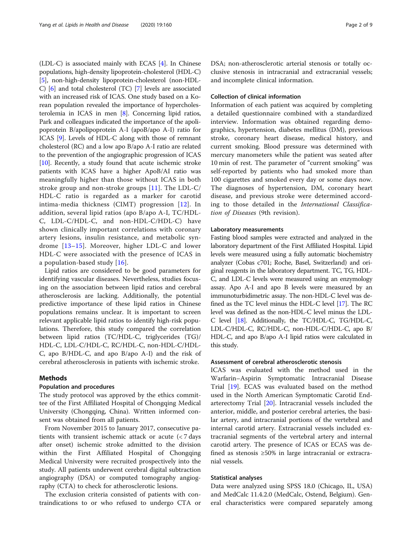(LDL-C) is associated mainly with ECAS [\[4](#page-7-0)]. In Chinese populations, high-density lipoprotein-cholesterol (HDL-C) [[5\]](#page-7-0), non-high-density lipoprotein-cholesterol (non-HDL-C) [\[6\]](#page-7-0) and total cholesterol (TC) [[7](#page-7-0)] levels are associated with an increased risk of ICAS. One study based on a Korean population revealed the importance of hypercholesterolemia in ICAS in men [\[8\]](#page-7-0). Concerning lipid ratios, Park and colleagues indicated the importance of the apolipoprotein B/apolipoprotein A-I (apoB/apo A-I) ratio for ICAS [\[9\]](#page-7-0). Levels of HDL-C along with those of remnant cholesterol (RC) and a low apo B/apo A-I ratio are related to the prevention of the angiographic progression of ICAS [[10](#page-7-0)]. Recently, a study found that acute ischemic stroke patients with ICAS have a higher ApoB/AI ratio was meaningfully higher than those without ICAS in both stroke group and non-stroke groups [\[11\]](#page-7-0). The LDL-C/ HDL-C ratio is regarded as a marker for carotid intima-media thickness (CIMT) progression [\[12\]](#page-7-0). In addition, several lipid ratios (apo B/apo A-I, TC/HDL-C, LDL-C/HDL-C, and non-HDL-C/HDL-C) have shown clinically important correlations with coronary artery lesions, insulin resistance, and metabolic syndrome [[13](#page-7-0)–[15](#page-7-0)]. Moreover, higher LDL-C and lower HDL-C were associated with the presence of ICAS in a population-based study [[16](#page-7-0)].

Lipid ratios are considered to be good parameters for identifying vascular diseases. Nevertheless, studies focusing on the association between lipid ratios and cerebral atherosclerosis are lacking. Additionally, the potential predictive importance of these lipid ratios in Chinese populations remains unclear. It is important to screen relevant applicable lipid ratios to identify high-risk populations. Therefore, this study compared the correlation between lipid ratios (TC/HDL-C, triglycerides (TG)/ HDL-C, LDL-C/HDL-C, RC/HDL-C, non-HDL-C/HDL-C, apo B/HDL-C, and apo B/apo A-I) and the risk of cerebral atherosclerosis in patients with ischemic stroke.

#### Methods

#### Population and procedures

The study protocol was approved by the ethics committee of the First Affiliated Hospital of Chongqing Medical University (Chongqing, China). Written informed consent was obtained from all patients.

From November 2015 to January 2017, consecutive patients with transient ischemic attack or acute (< 7 days after onset) ischemic stroke admitted to the division within the First Affiliated Hospital of Chongqing Medical University were recruited prospectively into the study. All patients underwent cerebral digital subtraction angiography (DSA) or computed tomography angiography (CTA) to check for atherosclerotic lesions.

The exclusion criteria consisted of patients with contraindications to or who refused to undergo CTA or

DSA; non-atherosclerotic arterial stenosis or totally occlusive stenosis in intracranial and extracranial vessels; and incomplete clinical information.

#### Collection of clinical information

Information of each patient was acquired by completing a detailed questionnaire combined with a standardized interview. Information was obtained regarding demographics, hypertension, diabetes mellitus (DM), previous stroke, coronary heart disease, medical history, and current smoking. Blood pressure was determined with mercury manometers while the patient was seated after 10 min of rest. The parameter of "current smoking" was self-reported by patients who had smoked more than 100 cigarettes and smoked every day or some days now. The diagnoses of hypertension, DM, coronary heart disease, and previous stroke were determined according to those detailed in the International Classification of Diseases (9th revision).

#### Laboratory measurements

Fasting blood samples were extracted and analyzed in the laboratory department of the First Affiliated Hospital. Lipid levels were measured using a fully automatic biochemistry analyzer (Cobas c701; Roche, Basel, Switzerland) and original reagents in the laboratory department. TC, TG, HDL-C, and LDL-C levels were measured using an enzymology assay. Apo A-I and apo B levels were measured by an immunoturbidimetric assay. The non-HDL-C level was defined as the TC level minus the HDL-C level [[17](#page-7-0)]. The RC level was defined as the non-HDL-C level minus the LDL-C level [\[18\]](#page-7-0). Additionally, the TC/HDL-C, TG/HDL-C, LDL-C/HDL-C, RC/HDL-C, non-HDL-C/HDL-C, apo B/ HDL-C, and apo B/apo A-I lipid ratios were calculated in this study.

#### Assessment of cerebral atherosclerotic stenosis

ICAS was evaluated with the method used in the Warfarin–Aspirin Symptomatic Intracranial Disease Trial [[19\]](#page-7-0). ECAS was evaluated based on the method used in the North American Symptomatic Carotid Endarterectomy Trial [[20\]](#page-7-0). Intracranial vessels included the anterior, middle, and posterior cerebral arteries, the basilar artery, and intracranial portions of the vertebral and internal carotid artery. Extracranial vessels included extracranial segments of the vertebral artery and internal carotid artery. The presence of ICAS or ECAS was defined as stenosis ≥50% in large intracranial or extracranial vessels.

#### Statistical analyses

Data were analyzed using SPSS 18.0 (Chicago, IL, USA) and MedCalc 11.4.2.0 (MedCalc, Ostend, Belgium). General characteristics were compared separately among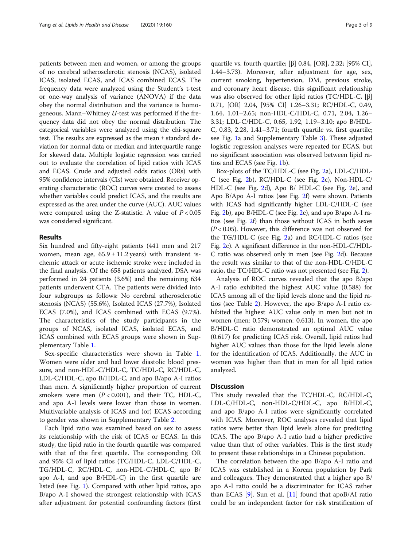patients between men and women, or among the groups of no cerebral atherosclerotic stenosis (NCAS), isolated ICAS, isolated ECAS, and ICAS combined ECAS. The frequency data were analyzed using the Student's t-test or one-way analysis of variance (ANOVA) if the data obey the normal distribution and the variance is homogeneous. Mann–Whitney U-test was performed if the frequency data did not obey the normal distribution. The categorical variables were analyzed using the chi-square test. The results are expressed as the mean ± standard deviation for normal data or median and interquartile range for skewed data. Multiple logistic regression was carried out to evaluate the correlation of lipid ratios with ICAS and ECAS. Crude and adjusted odds ratios (ORs) with 95% confidence intervals (CIs) were obtained. Receiver operating characteristic (ROC) curves were created to assess whether variables could predict ICAS, and the results are expressed as the area under the curve (AUC). AUC values were compared using the Z-statistic. A value of  $P < 0.05$ was considered significant.

#### Results

Six hundred and fifty-eight patients (441 men and 217 women, mean age,  $65.9 \pm 11.2$  years) with transient ischemic attack or acute ischemic stroke were included in the final analysis. Of the 658 patients analyzed, DSA was performed in 24 patients (3.6%) and the remaining 634 patients underwent CTA. The patients were divided into four subgroups as follows: No cerebral atherosclerotic stenosis (NCAS) (55.6%), Isolated ICAS (27.7%), Isolated ECAS (7.0%), and ICAS combined with ECAS (9.7%). The characteristics of the study participants in the groups of NCAS, isolated ICAS, isolated ECAS, and ICAS combined with ECAS groups were shown in Supplementary Table [1](#page-6-0).

Sex-specific characteristics were shown in Table [1](#page-3-0). Women were older and had lower diastolic blood pressure, and non-HDL-C/HDL-C, TC/HDL-C, RC/HDL-C, LDL-C/HDL-C, apo B/HDL-C, and apo B/apo A-I ratios than men. A significantly higher proportion of current smokers were men  $(P < 0.001)$ , and their TC, HDL-C, and apo A-I levels were lower than those in women. Multivariable analysis of ICAS and (or) ECAS according to gender was shown in Supplementary Table [2](#page-6-0).

Each lipid ratio was examined based on sex to assess its relationship with the risk of ICAS or ECAS. In this study, the lipid ratio in the fourth quartile was compared with that of the first quartile. The corresponding OR and 95% CI of lipid ratios (TC/HDL-C, LDL-C/HDL-C, TG/HDL-C, RC/HDL-C, non-HDL-C/HDL-C, apo B/ apo A-I, and apo B/HDL-C) in the first quartile are listed (see Fig. [1](#page-4-0)). Compared with other lipid ratios, apo B/apo A-I showed the strongest relationship with ICAS after adjustment for potential confounding factors (first

quartile vs. fourth quartile;  $[\beta]$  0.84,  $[OR]$ , 2.32;  $[95\%$  CI], 1.44–3.73). Moreover, after adjustment for age, sex, current smoking, hypertension, DM, previous stroke, and coronary heart disease, this significant relationship was also observed for other lipid ratios (TC/HDL-C, [β] 0.71, [OR] 2.04, [95% CI] 1.26–3.31; RC/HDL-C, 0.49, 1.64, 1.01–2.65; non-HDL-C/HDL-C, 0.71, 2.04, 1.26– 3.31; LDL-C/HDL-C, 0.65, 1.92, 1.19–3.10; apo B/HDL-C, 0.83, 2.28, 1.41–3.71; fourth quartile vs. first quartile; see Fig. [1](#page-4-0)a and Supplementary Table [3](#page-6-0)). These adjusted logistic regression analyses were repeated for ECAS, but no significant association was observed between lipid ratios and ECAS (see Fig. [1](#page-4-0)b).

Box-plots of the TC/HDL-C (see Fig. [2a](#page-5-0)), LDL-C/HDL-C (see Fig. [2b](#page-5-0)), RC/HDL-C (see Fig. [2c](#page-5-0)), Non-HDL-C/ HDL-C (see Fig. [2](#page-5-0)d), Apo B/ HDL-C (see Fig. [2e](#page-5-0)), and Apo B/Apo A-I ratios (see Fig. [2f](#page-5-0)) were shown. Patients with ICAS had significantly higher LDL-C/HDL-C (see Fig. [2](#page-5-0)b), apo B/HDL-C (see Fig. [2e](#page-5-0)), and apo B/apo A-I ratios (see Fig. [2f](#page-5-0)) than those without ICAS in both sexes  $(P < 0.05)$ . However, this difference was not observed for the TG/HDL-C (see Fig. [2a](#page-5-0)) and RC/HDL-C ratios (see Fig. [2c](#page-5-0)). A significant difference in the non-HDL-C/HDL-C ratio was observed only in men (see Fig. [2](#page-5-0)d). Because the result was similar to that of the non-HDL-C/HDL-C ratio, the TC/HDL-C ratio was not presented (see Fig. [2](#page-5-0)).

Analysis of ROC curves revealed that the apo B/apo A-I ratio exhibited the highest AUC value (0.588) for ICAS among all of the lipid levels alone and the lipid ratios (see Table [2](#page-6-0)). However, the apo B/apo A-I ratio exhibited the highest AUC value only in men but not in women (men: 0.579; women: 0.613). In women, the apo B/HDL-C ratio demonstrated an optimal AUC value (0.617) for predicting ICAS risk. Overall, lipid ratios had higher AUC values than those for the lipid levels alone for the identification of ICAS. Additionally, the AUC in women was higher than that in men for all lipid ratios analyzed.

#### **Discussion**

This study revealed that the TC/HDL-C, RC/HDL-C, LDL-C/HDL-C, non-HDL-C/HDL-C, apo B/HDL-C, and apo B/apo A-I ratios were significantly correlated with ICAS. Moreover, ROC analyses revealed that lipid ratios were better than lipid levels alone for predicting ICAS. The apo B/apo A-I ratio had a higher predictive value than that of other variables. This is the first study to present these relationships in a Chinese population.

The correlation between the apo B/apo A-I ratio and ICAS was established in a Korean population by Park and colleagues. They demonstrated that a higher apo B/ apo A-I ratio could be a discriminator for ICAS rather than ECAS  $[9]$  $[9]$  $[9]$ . Sun et al.  $[11]$  $[11]$  found that apoB/AI ratio could be an independent factor for risk stratification of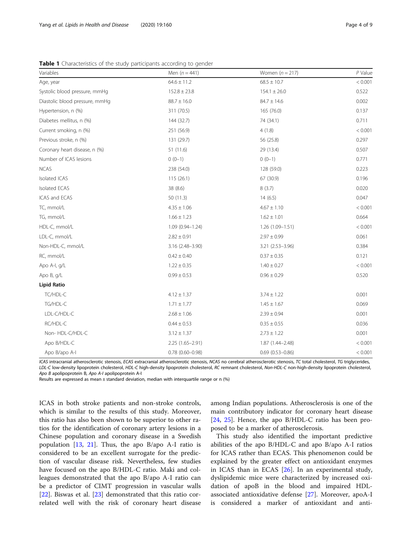| Variables                      | Men $(n = 441)$  | Women $(n = 217)$   | $P$ Value |
|--------------------------------|------------------|---------------------|-----------|
| Age, year                      | $64.6 \pm 11.2$  | $68.5 \pm 10.7$     | < 0.001   |
| Systolic blood pressure, mmHg  | $152.8 \pm 23.8$ | $154.1 \pm 26.0$    | 0.522     |
| Diastolic blood pressure, mmHg | $88.7 \pm 16.0$  | $84.7 \pm 14.6$     | 0.002     |
| Hypertension, n (%)            | 311 (70.5)       | 165 (76.0)          | 0.137     |
| Diabetes mellitus, n (%)       | 144 (32.7)       | 74 (34.1)           | 0.711     |
| Current smoking, n (%)         | 251 (56.9)       | 4(1.8)              | < 0.001   |
| Previous stroke, n (%)         | 131 (29.7)       | 56 (25.8)           | 0.297     |
| Coronary heart disease, n (%)  | 51 (11.6)        | 29 (13.4)           | 0.507     |
| Number of ICAS lesions         | $0(0-1)$         | $0(0-1)$            | 0.771     |
| <b>NCAS</b>                    | 238 (54.0)       | 128 (59.0)          | 0.223     |
| <b>Isolated ICAS</b>           | 115(26.1)        | 67 (30.9)           | 0.196     |
| Isolated ECAS                  | 38 (8.6)         | 8(3.7)              | 0.020     |
| ICAS and ECAS                  | 50(11.3)         | 14(6.5)             | 0.047     |
| TC, mmol/L                     | $4.35 \pm 1.06$  | $4.67 \pm 1.10$     | < 0.001   |
| TG, mmol/L                     | $1.66 \pm 1.23$  | $1.62 \pm 1.01$     | 0.664     |
| HDL-C, mmol/L                  | 1.09 (0.94-1.24) | $1.26(1.09 - 1.51)$ | < 0.001   |
| LDL-C, mmol/L                  | $2.82 \pm 0.91$  | $2.97 \pm 0.99$     | 0.061     |
| Non-HDL-C, mmol/L              | 3.16 (2.48-3.90) | 3.21 (2.53-3.96)    | 0.384     |
| RC, mmol/L                     | $0.42 \pm 0.40$  | $0.37 \pm 0.35$     | 0.121     |
| Apo A-I, g/L                   | $1.22 \pm 0.35$  | $1.40 \pm 0.27$     | < 0.001   |
| Apo B, g/L                     | $0.99 \pm 0.53$  | $0.96 \pm 0.29$     | 0.520     |
| <b>Lipid Ratio</b>             |                  |                     |           |
| TC/HDL-C                       | $4.12 \pm 1.37$  | $3.74 \pm 1.22$     | 0.001     |
| TG/HDL-C                       | $1.71 \pm 1.77$  | $1.45 \pm 1.67$     | 0.069     |
| LDL-C/HDL-C                    | $2.68 \pm 1.06$  | $2.39 \pm 0.94$     | 0.001     |
| RC/HDL-C                       | $0.44 \pm 0.53$  | $0.35 \pm 0.55$     | 0.036     |
| Non-HDL-C/HDL-C                | $3.12 \pm 1.37$  | $2.73 \pm 1.22$     | 0.001     |
|                                |                  |                     |           |

<span id="page-3-0"></span>Table 1 Characteristics of the study participants according to gender

ICAS intracranial atherosclerotic stenosis, ECAS extracranial atherosclerotic stenosis, NCAS no cerebral atherosclerotic stenosis, TC total cholesterol, TG triglycerides, LDL-C low-density lipoprotein cholesterol, HDL-C high-density lipoprotein cholesterol, RC remnant cholesterol, Non-HDL-C non-high-density lipoprotein cholesterol Apo B apolipoprotein B, Apo A-I apolipoprotein A-I

Apo B/HDL-C  $2.25 (1.65-2.91)$   $1.87 (1.44-2.48)$   $< 0.001$ Apo B/apo A-I 0.78 (0.60–0.98) 0.69 (0.53–0.86) < 0.001

Results are expressed as mean  $\pm$  standard deviation, median with interquartile range or n (%)

ICAS in both stroke patients and non-stroke controls, which is similar to the results of this study. Moreover, this ratio has also been shown to be superior to other ratios for the identification of coronary artery lesions in a Chinese population and coronary disease in a Swedish population [\[13,](#page-7-0) [21\]](#page-7-0). Thus, the apo B/apo A-I ratio is considered to be an excellent surrogate for the prediction of vascular disease risk. Nevertheless, few studies have focused on the apo B/HDL-C ratio. Maki and colleagues demonstrated that the apo B/apo A-I ratio can be a predictor of CIMT progression in vascular walls [[22\]](#page-7-0). Biswas et al.  $[23]$  $[23]$  $[23]$  demonstrated that this ratio correlated well with the risk of coronary heart disease among Indian populations. Atherosclerosis is one of the main contributory indicator for coronary heart disease [[24,](#page-7-0) [25\]](#page-7-0). Hence, the apo B/HDL-C ratio has been proposed to be a marker of atherosclerosis.

This study also identified the important predictive abilities of the apo B/HDL-C and apo B/apo A-I ratios for ICAS rather than ECAS. This phenomenon could be explained by the greater effect on antioxidant enzymes in ICAS than in ECAS [\[26\]](#page-7-0). In an experimental study, dyslipidemic mice were characterized by increased oxidation of apoB in the blood and impaired HDLassociated antioxidative defense [\[27](#page-7-0)]. Moreover, apoA-I is considered a marker of antioxidant and anti-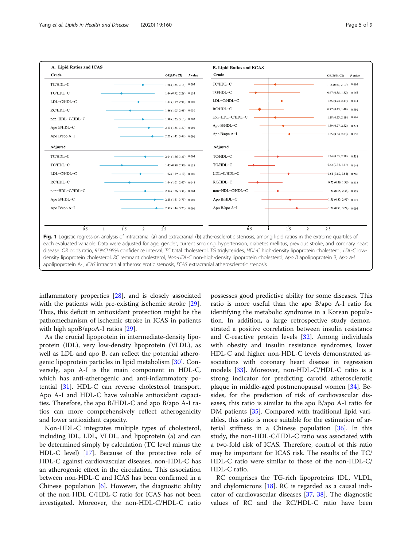<span id="page-4-0"></span>

inflammatory properties [[28\]](#page-7-0), and is closely associated with the patients with pre-existing ischemic stroke [\[29](#page-7-0)]. Thus, this deficit in antioxidant protection might be the pathomechanism of ischemic stroke in ICAS in patients with high apoB/apoA-I ratios [[29\]](#page-7-0).

As the crucial lipoprotein in intermediate-density lipoprotein (IDL), very low-density lipoprotein (VLDL), as well as LDL and apo B, can reflect the potential atherogenic lipoprotein particles in lipid metabolism [[30\]](#page-7-0). Conversely, apo A-I is the main component in HDL-C, which has anti-atherogenic and anti-inflammatory potential [[31\]](#page-7-0). HDL-C can reverse cholesterol transport. Apo A-I and HDL-C have valuable antioxidant capacities. Therefore, the apo B/HDL-C and apo B/apo A-I ratios can more comprehensively reflect atherogenicity and lower antioxidant capacity.

Non-HDL-C integrates multiple types of cholesterol, including IDL, LDL, VLDL, and lipoprotein (a) and can be determined simply by calculation (TC level minus the HDL-C level) [\[17](#page-7-0)]. Because of the protective role of HDL-C against cardiovascular diseases, non-HDL-C has an atherogenic effect in the circulation. This association between non-HDL-C and ICAS has been confirmed in a Chinese population [\[6](#page-7-0)]. However, the diagnostic ability of the non-HDL-C/HDL-C ratio for ICAS has not been investigated. Moreover, the non-HDL-C/HDL-C ratio

possesses good predictive ability for some diseases. This ratio is more useful than the apo B/apo A-I ratio for identifying the metabolic syndrome in a Korean population. In addition, a large retrospective study demonstrated a positive correlation between insulin resistance and C-reactive protein levels [\[32\]](#page-7-0). Among individuals with obesity and insulin resistance syndromes, lower HDL-C and higher non-HDL-C levels demonstrated associations with coronary heart disease in regression models [\[33](#page-8-0)]. Moreover, non-HDL-C/HDL-C ratio is a strong indicator for predicting carotid atherosclerotic plaque in middle-aged postmenopausal women [\[34](#page-8-0)]. Besides, for the prediction of risk of cardiovascular diseases, this ratio is similar to the apo B/apo A-I ratio for DM patients [\[35\]](#page-8-0). Compared with traditional lipid variables, this ratio is more suitable for the estimation of arterial stiffness in a Chinese population [[36](#page-8-0)]. In this study, the non-HDL-C/HDL-C ratio was associated with a two-fold risk of ICAS. Therefore, control of this ratio may be important for ICAS risk. The results of the TC/ HDL-C ratio were similar to those of the non-HDL-C/ HDL-C ratio.

RC comprises the TG-rich lipoproteins IDL, VLDL, and chylomicrons [\[18](#page-7-0)]. RC is regarded as a causal indicator of cardiovascular diseases [\[37](#page-8-0), [38](#page-8-0)]. The diagnostic values of RC and the RC/HDL-C ratio have been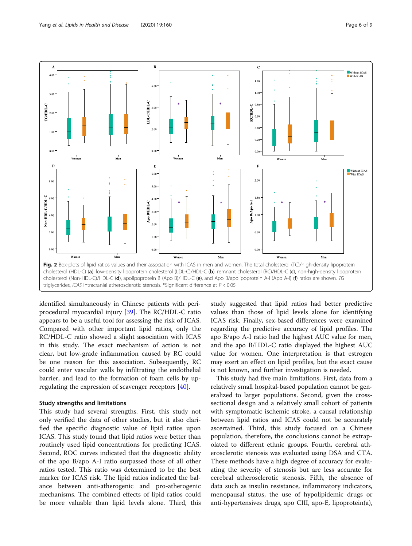<span id="page-5-0"></span>

triglycerides, ICAS intracranial atherosclerotic stenosis. \*Significant difference at P < 0.05

identified simultaneously in Chinese patients with periprocedural myocardial injury [[39\]](#page-8-0). The RC/HDL-C ratio appears to be a useful tool for assessing the risk of ICAS. Compared with other important lipid ratios, only the RC/HDL-C ratio showed a slight association with ICAS in this study. The exact mechanism of action is not clear, but low-grade inflammation caused by RC could be one reason for this association. Subsequently, RC could enter vascular walls by infiltrating the endothelial barrier, and lead to the formation of foam cells by upregulating the expression of scavenger receptors [[40\]](#page-8-0).

#### Study strengths and limitations

This study had several strengths. First, this study not only verified the data of other studies, but it also clarified the specific diagnostic value of lipid ratios upon ICAS. This study found that lipid ratios were better than routinely used lipid concentrations for predicting ICAS. Second, ROC curves indicated that the diagnostic ability of the apo B/apo A-I ratio surpassed those of all other ratios tested. This ratio was determined to be the best marker for ICAS risk. The lipid ratios indicated the balance between anti-atherogenic and pro-atherogenic mechanisms. The combined effects of lipid ratios could be more valuable than lipid levels alone. Third, this study suggested that lipid ratios had better predictive values than those of lipid levels alone for identifying ICAS risk. Finally, sex-based differences were examined regarding the predictive accuracy of lipid profiles. The apo B/apo A-I ratio had the highest AUC value for men, and the apo B/HDL-C ratio displayed the highest AUC value for women. One interpretation is that estrogen may exert an effect on lipid profiles, but the exact cause is not known, and further investigation is needed.

This study had five main limitations. First, data from a relatively small hospital-based population cannot be generalized to larger populations. Second, given the crosssectional design and a relatively small cohort of patients with symptomatic ischemic stroke, a causal relationship between lipid ratios and ICAS could not be accurately ascertained. Third, this study focused on a Chinese population, therefore, the conclusions cannot be extrapolated to different ethnic groups. Fourth, cerebral atherosclerotic stenosis was evaluated using DSA and CTA. These methods have a high degree of accuracy for evaluating the severity of stenosis but are less accurate for cerebral atherosclerotic stenosis. Fifth, the absence of data such as insulin resistance, inflammatory indicators, menopausal status, the use of hypolipidemic drugs or anti-hypertensives drugs, apo CIII, apo-E, lipoprotein(a),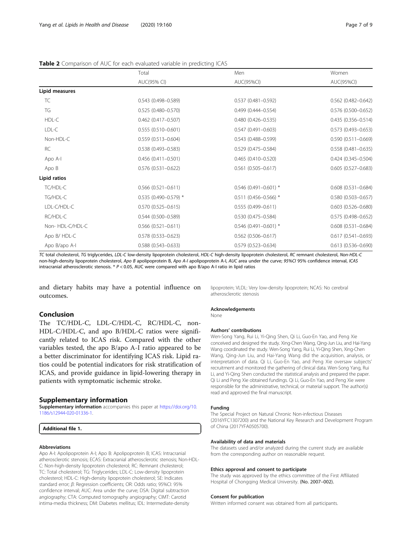#### <span id="page-6-0"></span>Table 2 Comparison of AUC for each evaluated variable in predicting ICAS

|                 | Total<br>AUC(95% CI)      | Men<br>AUC(95%CI)       | Women                     |
|-----------------|---------------------------|-------------------------|---------------------------|
|                 |                           |                         | AUC(95%CI)                |
| Lipid measures  |                           |                         |                           |
| TC              | $0.543(0.498 - 0.589)$    | $0.537(0.481 - 0.592)$  | $0.562$ (0.482-0.642)     |
| TG              | $0.525(0.480 - 0.570)$    | $0.499(0.444 - 0.554)$  | $0.576$ (0.500-0.652)     |
| HDL-C           | $0.462$ (0.417-0.507)     | $0.480(0.426 - 0.535)$  | 0.435 (0.356-0.514)       |
| LDL-C           | $0.555(0.510 - 0.601)$    | $0.547(0.491 - 0.603)$  | $0.573$ $(0.493 - 0.653)$ |
| Non-HDL-C       | $0.559(0.513 - 0.604)$    | $0.543(0.488 - 0.599)$  | $0.590(0.511 - 0.669)$    |
| <b>RC</b>       | $0.538(0.493 - 0.583)$    | $0.529(0.475 - 0.584)$  | $0.558(0.481 - 0.635)$    |
| Apo A-I         | $0.456(0.411 - 0.501)$    | $0.465(0.410 - 0.520)$  | $0.424(0.345 - 0.504)$    |
| Apo B           | $0.576(0.531 - 0.622)$    | $0.561(0.505 - 0.617)$  | $0.605(0.527 - 0.683)$    |
| Lipid ratios    |                           |                         |                           |
| TC/HDL-C        | $0.566$ $(0.521 - 0.611)$ | $0.546$ (0.491-0.601) * | $0.608(0.531 - 0.684)$    |
| TG/HDL-C        | $0.535$ (0.490-0.579) *   | $0.511(0.456 - 0.566)*$ | $0.580(0.503 - 0.657)$    |
| LDL-C/HDL-C     | $0.570(0.525 - 0.615)$    | $0.555(0.499 - 0.611)$  | $0.603$ $(0.526 - 0.680)$ |
| RC/HDL-C        | $0.544(0.500 - 0.589)$    | $0.530(0.475 - 0.584)$  | $0.575(0.498 - 0.652)$    |
| Non-HDL-C/HDL-C | $0.566$ $(0.521 - 0.611)$ | $0.546$ (0.491-0.601) * | $0.608(0.531 - 0.684)$    |
| Apo B/HDL-C     | $0.578(0.533 - 0.623)$    | $0.562$ (0.506-0.617)   | $0.617(0.541 - 0.693)$    |
| Apo B/apo A-I   | $0.588(0.543 - 0.633)$    | $0.579(0.523 - 0.634)$  | $0.613(0.536 - 0.690)$    |

TC total cholesterol, TG triglycerides, LDL-C low-density lipoprotein cholesterol, HDL-C high-density lipoprotein cholesterol, RC remnant cholesterol, Non-HDL-C non-high-density lipoprotein cholesterol, Apo B apolipoprotein B, Apo A-I apolipoprotein A-I, AUC area under the curve; 95%CI 95% confidence interval, ICAS intracranial atherosclerotic stenosis. \* P < 0.05, AUC were compared with apo B/apo A-I ratio in lipid ratios

and dietary habits may have a potential influence on outcomes.

#### Conclusion

The TC/HDL-C, LDL-C/HDL-C, RC/HDL-C, non-HDL-C/HDL-C, and apo B/HDL-C ratios were significantly related to ICAS risk. Compared with the other variables tested, the apo B/apo A-I ratio appeared to be a better discriminator for identifying ICAS risk. Lipid ratios could be potential indicators for risk stratification of ICAS, and provide guidance in lipid-lowering therapy in patients with symptomatic ischemic stroke.

#### Supplementary information

Supplementary information accompanies this paper at [https://doi.org/10.](https://doi.org/10.1186/s12944-020-01336-1) [1186/s12944-020-01336-1](https://doi.org/10.1186/s12944-020-01336-1).

Additional file 1.

#### Abbreviations

Apo A-I: Apolipoprotein A-I; Apo B: Apolipoprotein B; ICAS: Intracranial atherosclerotic stenosis; ECAS: Extracranial atherosclerotic stenosis; Non-HDL-C: Non-high-density lipoprotein cholesterol; RC: Remnant cholesterol; TC: Total cholesterol; TG: Triglycerides; LDL-C: Low-density lipoprotein cholesterol; HDL-C: High-density lipoprotein cholesterol; SE: Indicates standard error; β: Regression coefficients; OR: Odds ratio; 95%CI: 95% confidence interval; AUC: Area under the curve; DSA: Digital subtraction angiography; CTA: Computed tomography angiography; CIMT: Carotid intima-media thickness; DM: Diabetes mellitus; IDL: Intermediate-density

lipoprotein; VLDL: Very low-density lipoprotein; NCAS: No cerebral atherosclerotic stenosis

#### Acknowledgements

None

Authors' contributions

Wen-Song Yang, Rui Li, Yi-Qing Shen, Qi Li, Guo-En Yao, and Peng Xie conceived and designed the study. Xing-Chen Wang, Qing-Jun Liu, and Hai-Yang Wang coordinated the study. Wen-Song Yang, Rui Li, Yi-Qing Shen, Xing-Chen Wang, Qing-Jun Liu, and Hai-Yang Wang did the acquisition, analysis, or interpretation of data. Qi Li, Guo-En Yao, and Peng Xie oversaw subjects' recruitment and monitored the gathering of clinical data. Wen-Song Yang, Rui Li, and Yi-Qing Shen conducted the statistical analysis and prepared the paper. Qi Li and Peng Xie obtained fundings. Qi Li, Guo-En Yao, and Peng Xie were responsible for the administrative, technical, or material support. The author(s) read and approved the final manuscript.

#### Funding

The Special Project on Natural Chronic Non-infectious Diseases (2016YFC1307200) and the National Key Research and Development Program of China (2017YFA0505700).

#### Availability of data and materials

The datasets used and/or analyzed during the current study are available from the corresponding author on reasonable request.

#### Ethics approval and consent to participate

The study was approved by the ethics committee of the First Affiliated Hospital of Chongqing Medical University. (No. 2007–002).

#### Consent for publication

Written informed consent was obtained from all participants.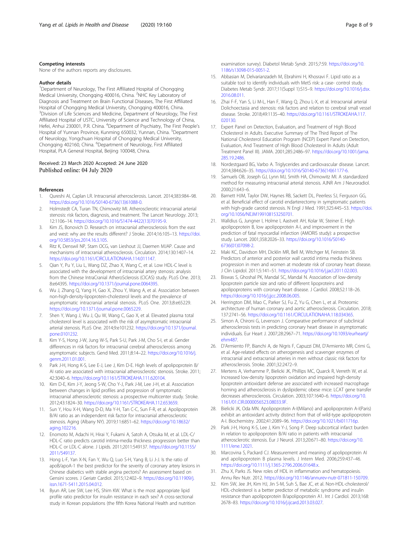#### <span id="page-7-0"></span>Competing interests

None of the authors reports any disclosures.

#### Author details

<sup>1</sup>Department of Neurology, The First Affiliated Hospital of Chongqing Medical University, Chongqing 400016, China. <sup>2</sup>NHC Key Laboratory of Diagnosis and Treatment on Brain Functional Diseases, The First Affiliated Hospital of Chongqing Medical University, Chongqing 400016, China. <sup>3</sup>Division of Life Sciences and Medicine, Department of Neurology, The First Affiliated Hospital of USTC, University of Science and Technology of China, Hefei, Anhui 230001, P.R. China. <sup>4</sup>Department of Psychiatry, The First People's Hospital of Yunnan Province, Kunming 650032, Yunnan, China. <sup>5</sup>Department of Neurology, Yongchuan Hospital of Chongqing Medical University, Chongqing 402160, China. <sup>6</sup>Department of Neurology, First Affiliated Hospital, PLA General Hospital, Beijing 100048, China.

#### Received: 23 March 2020 Accepted: 24 June 2020 Published online: 04 July 2020

#### References

- Qureshi AI, Caplan LR. Intracranial atherosclerosis. Lancet. 2014;383:984-98. [https://doi.org/10.1016/S0140-6736\(13\)61088-0.](https://doi.org/10.1016/S0140-6736(13)61088-0)
- 2. Holmstedt CA, Turan TN, Chimowitz MI. Atherosclerotic intracranial arterial stenosis: risk factors, diagnosis, and treatment. The Lancet Neurology. 2013; 12:1106–14. [https://doi.org/10.1016/S1474-4422\(13\)70195-9](https://doi.org/10.1016/S1474-4422(13)70195-9).
- 3. Kim JS, Bonovich D. Research on intracranial atherosclerosis from the east and west: why are the results different? J Stroke. 2014;16:105–13. [https://doi.](https://doi.org/10.5853/jos.2014.16.3.105) [org/10.5853/jos.2014.16.3.105.](https://doi.org/10.5853/jos.2014.16.3.105)
- 4. Ritz K, Denswil NP, Stam OCG, van Lieshout JJ, Daemen MJAP. Cause and mechanisms of intracranial atherosclerosis. Circulation. 2014;130:1407–14. [https://doi.org/10.1161/CIRCULATIONAHA.114.011147.](https://doi.org/10.1161/CIRCULATIONAHA.114.011147)
- 5. Qian Y, Pu Y, Liu L, Wang DZ, Zhao X, Wang C, et al. Low HDL-C level is associated with the development of intracranial artery stenosis: analysis from the Chinese IntraCranial AtheroSclerosis (CICAS) study. PLoS One. 2013; 8:e64395. [https://doi.org/10.1371/journal.pone.0064395.](https://doi.org/10.1371/journal.pone.0064395)
- 6. Wu J, Zhang Q, Yang H, Gao X, Zhou Y, Wang A, et al. Association between non-high-density-lipoprotein-cholesterol levels and the prevalence of asymptomatic intracranial arterial stenosis. PLoS One. 2013;8:e65229. <https://doi.org/10.1371/journal.pone.0065229>.
- 7. Shen Y, Wang J, Wu J, Qu W, Wang C, Gao X, et al. Elevated plasma total cholesterol level is associated with the risk of asymptomatic intracranial arterial stenosis. PLoS One. 2014;9:e101232. [https://doi.org/10.1371/journal.](https://doi.org/10.1371/journal.pone.0101232) [pone.0101232.](https://doi.org/10.1371/journal.pone.0101232)
- Kim Y-S, Hong J-W, Jung W-S, Park S-U, Park J-M, Cho S-I, et al. Gender differences in risk factors for intracranial cerebral atherosclerosis among asymptomatic subjects. Gend Med. 2011;8:14–22. [https://doi.org/10.1016/j.](https://doi.org/10.1016/j.genm.2011.01.001) [genm.2011.01.001.](https://doi.org/10.1016/j.genm.2011.01.001)
- 9. Park J-H, Hong K-S, Lee E-J, Lee J, Kim D-E. High levels of apolipoprotein B/ AI ratio are associated with intracranial atherosclerotic stenosis. Stroke. 2011; 42:3040–6. <https://doi.org/10.1161/STROKEAHA.111.620104>.
- 10. Kim D-E, Kim J-Y, Jeong S-W, Cho Y-J, Park J-M, Lee J-H, et al. Association between changes in lipid profiles and progression of symptomatic intracranial atherosclerotic stenosis: a prospective multicenter study. Stroke. 2012;43:1824–30. [https://doi.org/10.1161/STROKEAHA.112.653659.](https://doi.org/10.1161/STROKEAHA.112.653659)
- 11. Sun Y, Hou X-H, Wang D-D, Ma Y-H, Tan C-C, Sun F-R, et al. Apolipoprotein B/AI ratio as an independent risk factor for intracranial atherosclerotic stenosis. Aging (Albany NY). 2019;11:6851–62. [https://doi.org/10.18632/](https://doi.org/10.18632/aging.102216) [aging.102216.](https://doi.org/10.18632/aging.102216)
- 12. Enomoto M, Adachi H, Hirai Y, Fukami A, Satoh A, Otsuka M, et al. LDL-C/ HDL-C ratio predicts carotid intima-media thickness progression better than HDL-C or LDL-C alone. J Lipids. 2011;2011:549137. [https://doi.org/10.1155/](https://doi.org/10.1155/2011/549137) [2011/549137](https://doi.org/10.1155/2011/549137).
- 13. Hong L-F, Yan X-N, Fan Y, Wu Q, Luo S-H, Yang B, Li J-J. Is the ratio of apoB/apoA-1 the best predictor for the severity of coronary artery lesions in Chinese diabetics with stable angina pectoris? An assessment based on Gensini scores. J Geriatr Cardiol. 2015;12:402–9. [https://doi.org/10.11909/j.](https://doi.org/10.11909/j.issn.1671-5411.2015.04.012) [issn.1671-5411.2015.04.012](https://doi.org/10.11909/j.issn.1671-5411.2015.04.012).
- 14. Byun AR, Lee SW, Lee HS, Shim KW. What is the most appropriate lipid profile ratio predictor for insulin resistance in each sex? A cross-sectional study in Korean populations (the fifth Korea National Health and nutrition

examination survey). Diabetol Metab Syndr. 2015;7:59. [https://doi.org/10.](https://doi.org/10.1186/s13098-015-0051-2) [1186/s13098-015-0051-2](https://doi.org/10.1186/s13098-015-0051-2).

- 15. Abbasian M, Delvarianzadeh M, Ebrahimi H, Khosravi F. Lipid ratio as a suitable tool to identify individuals with MetS risk: a case- control study. Diabetes Metab Syndr. 2017;11(Suppl 1):S15–9. [https://doi.org/10.1016/j.dsx.](https://doi.org/10.1016/j.dsx.2016.08.011) [2016.08.011.](https://doi.org/10.1016/j.dsx.2016.08.011)
- 16. Zhai F-F, Yan S, Li M-L, Han F, Wang Q, Zhou L-X, et al. Intracranial arterial Dolichoectasia and stenosis: risk factors and relation to cerebral small vessel disease. Stroke. 2018;49:1135–40. [https://doi.org/10.1161/STROKEAHA.117.](https://doi.org/10.1161/STROKEAHA.117.020130) [020130](https://doi.org/10.1161/STROKEAHA.117.020130).
- 17. Expert Panel on Detection, Evaluation, and Treatment of High Blood Cholesterol in Adults. Executive Summary of The Third Report of The National Cholesterol Education Program (NCEP) Expert Panel on Detection, Evaluation, And Treatment of High Blood Cholesterol In Adults (Adult Treatment Panel III). JAMA. 2001;285:2486–97. [https://doi.org/10.1001/jama.](https://doi.org/10.1001/jama.285.19.2486) [285.19.2486.](https://doi.org/10.1001/jama.285.19.2486)
- 18. Nordestgaard BG, Varbo A. Triglycerides and cardiovascular disease. Lancet. 2014;384:626–35. [https://doi.org/10.1016/S0140-6736\(14\)61177-6.](https://doi.org/10.1016/S0140-6736(14)61177-6)
- 19. Samuels OB, Joseph GJ, Lynn MJ, Smith HA, Chimowitz MI. A standardized method for measuring intracranial arterial stenosis. AJNR Am J Neuroradiol. 2000;21:643–6.
- 20. Barnett HJM, Taylor DW, Haynes RB, Sackett DL, Peerless SJ, Ferguson GG, et al. Beneficial effect of carotid endarterectomy in symptomatic patients with high-grade carotid stenosis. N Engl J Med. 1991;325:445–53. [https://doi.](https://doi.org/10.1056/NEJM199108153250701) [org/10.1056/NEJM199108153250701.](https://doi.org/10.1056/NEJM199108153250701)
- 21. Walldius G, Jungner I, Holme I, Aastveit AH, Kolar W, Steiner E. High apolipoprotein B, low apolipoprotein A-I, and improvement in the prediction of fatal myocardial infarction (AMORIS study): a prospective study. Lancet. 2001;358:2026–33. [https://doi.org/10.1016/S0140-](https://doi.org/10.1016/S0140-6736(01)07098-2) [6736\(01\)07098-2](https://doi.org/10.1016/S0140-6736(01)07098-2).
- 22. Maki KC, Davidson MH, Dicklin MR, Bell M, Witchger M, Feinstein SB. Predictors of anterior and posterior wall carotid intima media thickness progression in men and women at moderate risk of coronary heart disease. J Clin Lipidol. 2011;5:141–51. <https://doi.org/10.1016/j.jacl.2011.02.003>.
- 23. Biswas S, Ghoshal PK, Mandal SC, Mandal N. Association of low-density lipoprotein particle size and ratio of different lipoproteins and apolipoproteins with coronary heart disease. J Cardiol. 2008;52:118–26. <https://doi.org/10.1016/j.jjcc.2008.06.005>.
- 24. Herrington DM, Mao C, Parker SJ, Fu Z, Yu G, Chen L, et al. Proteomic architecture of human coronary and aortic atherosclerosis. Circulation. 2018; 137:2741–56. <https://doi.org/10.1161/CIRCULATIONAHA.118.034365>.
- 25. Simon A, Chironi G, Levenson J. Comparative performance of subclinical atherosclerosis tests in predicting coronary heart disease in asymptomatic individuals. Eur Heart J. 2007;28:2967–71. [https://doi.org/10.1093/eurheartj/](https://doi.org/10.1093/eurheartj/ehm487) [ehm487.](https://doi.org/10.1093/eurheartj/ehm487)
- 26. D'Armiento FP, Bianchi A, de Nigris F, Capuzzi DM, D'Armiento MR, Crimi G, et al. Age-related effects on atherogenesis and scavenger enzymes of intracranial and extracranial arteries in men without classic risk factors for atherosclerosis. Stroke. 2001;32:2472–9.
- 27. Mertens A, Verhamme P, Bielicki JK, Phillips MC, Quarck R, Verreth W, et al. Increased low-density lipoprotein oxidation and impaired high-density lipoprotein antioxidant defense are associated with increased macrophage homing and atherosclerosis in dyslipidemic obese mice: LCAT gene transfer decreases atherosclerosis. Circulation. 2003;107:1640–6. [https://doi.org/10.](https://doi.org/10.1161/01.CIR.0000056523.08033.9F) [1161/01.CIR.0000056523.08033.9F](https://doi.org/10.1161/01.CIR.0000056523.08033.9F).
- 28. Bielicki JK, Oda MN. Apolipoprotein A-I(Milano) and apolipoprotein A-I(Paris) exhibit an antioxidant activity distinct from that of wild-type apolipoprotein A-I. Biochemistry. 2002;41:2089–96. [https://doi.org/10.1021/bi011716p.](https://doi.org/10.1021/bi011716p)
- 29. Park J-H, Hong K-S, Lee J, Kim Y-J, Song P. Deep subcortical infarct burden in relation to apolipoprotein B/AI ratio in patients with intracranial atherosclerotic stenosis. Eur J Neurol. 2013;20:671–80. [https://doi.org/10.](https://doi.org/10.1111/ene.12021) [1111/ene.12021.](https://doi.org/10.1111/ene.12021)
- 30. Marcovina S, Packard CJ. Measurement and meaning of apolipoprotein AI and apolipoprotein B plasma levels. J Intern Med. 2006;259:437–46. [https://doi.org/10.1111/j.1365-2796.2006.01648.x.](https://doi.org/10.1111/j.1365-2796.2006.01648.x)
- 31. Zhu X, Parks JS. New roles of HDL in inflammation and hematopoiesis. Annu Rev Nutr. 2012. [https://doi.org/10.1146/annurev-nutr-071811-150709.](https://doi.org/10.1146/annurev-nutr-071811-150709)
- 32. Kim SW, Jee JH, Kim HJ, Jin S-M, Suh S, Bae JC, et al. Non-HDL-cholesterol/ HDL-cholesterol is a better predictor of metabolic syndrome and insulin resistance than apolipoprotein B/apolipoprotein A1. Int J Cardiol. 2013;168: 2678–83. <https://doi.org/10.1016/j.ijcard.2013.03.027>.